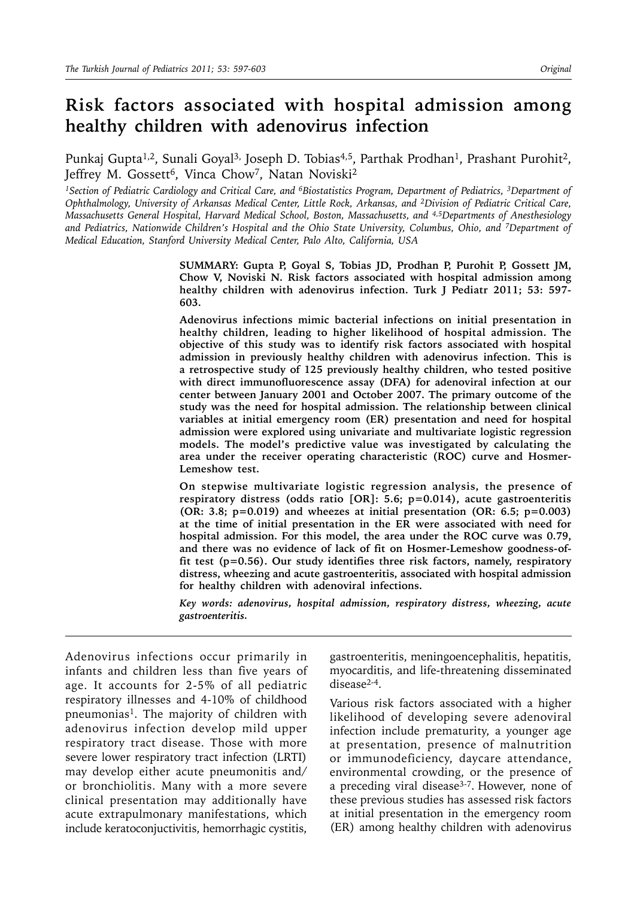# **Risk factors associated with hospital admission among healthy children with adenovirus infection**

Punkaj Gupta<sup>1,2</sup>, Sunali Goyal<sup>3,</sup> Joseph D. Tobias<sup>4,5</sup>, Parthak Prodhan<sup>1</sup>, Prashant Purohit<sup>2</sup>, Jeffrey M. Gossett<sup>6</sup>, Vinca Chow<sup>7</sup>, Natan Noviski<sup>2</sup>

*1Section of Pediatric Cardiology and Critical Care, and 6Biostatistics Program, Department of Pediatrics, 3Department of Ophthalmology, University of Arkansas Medical Center, Little Rock, Arkansas, and 2Division of Pediatric Critical Care, Massachusetts General Hospital, Harvard Medical School, Boston, Massachusetts, and 4,5Departments of Anesthesiology and Pediatrics, Nationwide Children's Hospital and the Ohio State University, Columbus, Ohio, and 7Department of Medical Education, Stanford University Medical Center, Palo Alto, California, USA*

> **SUMMARY: Gupta P, Goyal S, Tobias JD, Prodhan P, Purohit P, Gossett JM, Chow V, Noviski N. Risk factors associated with hospital admission among healthy children with adenovirus infection. Turk J Pediatr 2011; 53: 597- 603.**

> **Adenovirus infections mimic bacterial infections on initial presentation in healthy children, leading to higher likelihood of hospital admission. The objective of this study was to identify risk factors associated with hospital admission in previously healthy children with adenovirus infection. This is a retrospective study of 125 previously healthy children, who tested positive with direct immunofluorescence assay (DFA) for adenoviral infection at our center between January 2001 and October 2007. The primary outcome of the study was the need for hospital admission. The relationship between clinical variables at initial emergency room (ER) presentation and need for hospital admission were explored using univariate and multivariate logistic regression models. The model's predictive value was investigated by calculating the area under the receiver operating characteristic (ROC) curve and Hosmer-Lemeshow test.**

> **On stepwise multivariate logistic regression analysis, the presence of respiratory distress (odds ratio [OR]: 5.6; p=0.014), acute gastroenteritis (OR: 3.8; p=0.019) and wheezes at initial presentation (OR: 6.5; p=0.003) at the time of initial presentation in the ER were associated with need for hospital admission. For this model, the area under the ROC curve was 0.79, and there was no evidence of lack of fit on Hosmer-Lemeshow goodness-offit test (p=0.56). Our study identifies three risk factors, namely, respiratory distress, wheezing and acute gastroenteritis, associated with hospital admission for healthy children with adenoviral infections.**

> *Key words: adenovirus, hospital admission, respiratory distress, wheezing, acute gastroenteritis.*

Adenovirus infections occur primarily in infants and children less than five years of age. It accounts for 2-5% of all pediatric respiratory illnesses and 4-10% of childhood pneumonias<sup>1</sup>. The majority of children with adenovirus infection develop mild upper respiratory tract disease. Those with more severe lower respiratory tract infection (LRTI) may develop either acute pneumonitis and/ or bronchiolitis. Many with a more severe clinical presentation may additionally have acute extrapulmonary manifestations, which include keratoconjuctivitis, hemorrhagic cystitis,

gastroenteritis, meningoencephalitis, hepatitis, myocarditis, and life-threatening disseminated disease<sup>2-4</sup>.

Various risk factors associated with a higher likelihood of developing severe adenoviral infection include prematurity, a younger age at presentation, presence of malnutrition or immunodeficiency, daycare attendance, environmental crowding, or the presence of a preceding viral disease<sup>3-7</sup>. However, none of these previous studies has assessed risk factors at initial presentation in the emergency room (ER) among healthy children with adenovirus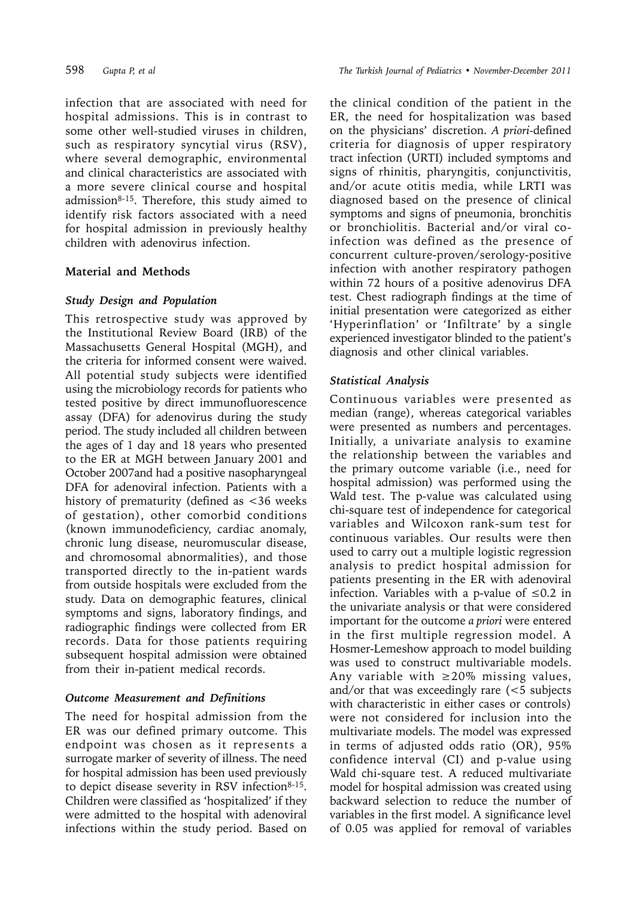infection that are associated with need for hospital admissions. This is in contrast to some other well-studied viruses in children, such as respiratory syncytial virus (RSV), where several demographic, environmental and clinical characteristics are associated with a more severe clinical course and hospital admission<sup>8-15</sup>. Therefore, this study aimed to identify risk factors associated with a need for hospital admission in previously healthy children with adenovirus infection.

## **Material and Methods**

## *Study Design and Population*

This retrospective study was approved by the Institutional Review Board (IRB) of the Massachusetts General Hospital (MGH), and the criteria for informed consent were waived. All potential study subjects were identified using the microbiology records for patients who tested positive by direct immunofluorescence assay (DFA) for adenovirus during the study period. The study included all children between the ages of 1 day and 18 years who presented to the ER at MGH between January 2001 and October 2007and had a positive nasopharyngeal DFA for adenoviral infection. Patients with a history of prematurity (defined as <36 weeks of gestation), other comorbid conditions (known immunodeficiency, cardiac anomaly, chronic lung disease, neuromuscular disease, and chromosomal abnormalities), and those transported directly to the in-patient wards from outside hospitals were excluded from the study. Data on demographic features, clinical symptoms and signs, laboratory findings, and radiographic findings were collected from ER records. Data for those patients requiring subsequent hospital admission were obtained from their in-patient medical records.

## *Outcome Measurement and Definitions*

The need for hospital admission from the ER was our defined primary outcome. This endpoint was chosen as it represents a surrogate marker of severity of illness. The need for hospital admission has been used previously to depict disease severity in RSV infection $8-15$ . Children were classified as 'hospitalized' if they were admitted to the hospital with adenoviral infections within the study period. Based on

the clinical condition of the patient in the ER, the need for hospitalization was based on the physicians' discretion. *A priori-*defined criteria for diagnosis of upper respiratory tract infection (URTI) included symptoms and signs of rhinitis, pharyngitis, conjunctivitis, and/or acute otitis media, while LRTI was diagnosed based on the presence of clinical symptoms and signs of pneumonia, bronchitis or bronchiolitis. Bacterial and/or viral coinfection was defined as the presence of concurrent culture-proven/serology-positive infection with another respiratory pathogen within 72 hours of a positive adenovirus DFA test. Chest radiograph findings at the time of initial presentation were categorized as either 'Hyperinflation' or 'Infiltrate' by a single experienced investigator blinded to the patient's diagnosis and other clinical variables.

# *Statistical Analysis*

Continuous variables were presented as median (range), whereas categorical variables were presented as numbers and percentages. Initially, a univariate analysis to examine the relationship between the variables and the primary outcome variable (i.e., need for hospital admission) was performed using the Wald test. The p-value was calculated using chi-square test of independence for categorical variables and Wilcoxon rank-sum test for continuous variables. Our results were then used to carry out a multiple logistic regression analysis to predict hospital admission for patients presenting in the ER with adenoviral infection. Variables with a p-value of ≤0.2 in the univariate analysis or that were considered important for the outcome *a priori* were entered in the first multiple regression model. A Hosmer-Lemeshow approach to model building was used to construct multivariable models. Any variable with  $\geq$  20% missing values, and/or that was exceedingly rare (<5 subjects with characteristic in either cases or controls) were not considered for inclusion into the multivariate models. The model was expressed in terms of adjusted odds ratio (OR), 95% confidence interval (CI) and p-value using Wald chi-square test. A reduced multivariate model for hospital admission was created using backward selection to reduce the number of variables in the first model. A significance level of 0.05 was applied for removal of variables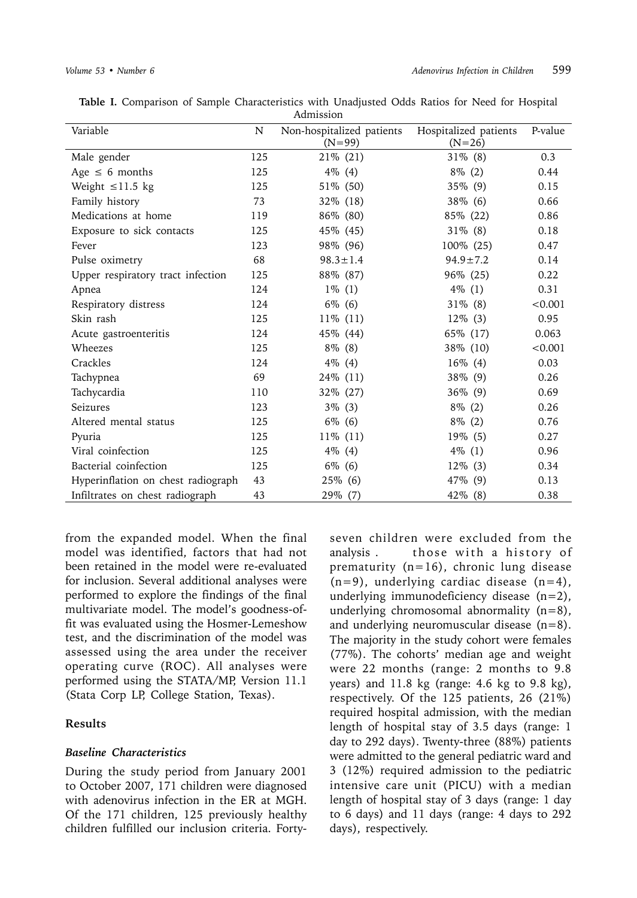| Variable                           | N   | Non-hospitalized patients<br>$(N=99)$ | Hospitalized patients<br>$(N=26)$ | P-value |
|------------------------------------|-----|---------------------------------------|-----------------------------------|---------|
| Male gender                        | 125 | 21\% (21)                             | $31\%$ (8)                        | 0.3     |
| Age $\leq 6$ months                | 125 | $4\%$ (4)                             | $8\%$ (2)                         | 0.44    |
| Weight $\leq$ 11.5 kg              | 125 | 51\% (50)                             | $35\%$ (9)                        | 0.15    |
| Family history                     | 73  | 32% (18)                              | $38\%$ (6)                        | 0.66    |
| Medications at home                | 119 | 86\% (80)                             | 85\% (22)                         | 0.86    |
| Exposure to sick contacts          | 125 | 45\% (45)                             | $31\%$ (8)                        | 0.18    |
| Fever                              | 123 | 98% (96)                              | 100% (25)                         | 0.47    |
| Pulse oximetry                     | 68  | $98.3 \pm 1.4$                        | $94.9 \pm 7.2$                    | 0.14    |
| Upper respiratory tract infection  | 125 | 88\% (87)                             | 96% (25)                          | 0.22    |
| Apnea                              | 124 | $1\%$ (1)                             | $4\%$ (1)                         | 0.31    |
| Respiratory distress               | 124 | $6\%$ (6)                             | $31\%$ (8)                        | < 0.001 |
| Skin rash                          | 125 | $11\%$ (11)                           | $12\%$ (3)                        | 0.95    |
| Acute gastroenteritis              | 124 | 45% (44)                              | 65\% (17)                         | 0.063   |
| Wheezes                            | 125 | $8\%$ (8)                             | 38\% (10)                         | < 0.001 |
| Crackles                           | 124 | $4\%$ (4)                             | 16% (4)                           | 0.03    |
| Tachypnea                          | 69  | 24% (11)                              | 38% (9)                           | 0.26    |
| Tachycardia                        | 110 | 32% (27)                              | 36% (9)                           | 0.69    |
| Seizures                           | 123 | $3\%$ (3)                             | $8\%$ (2)                         | 0.26    |
| Altered mental status              | 125 | $6\%$ (6)                             | $8\%$ (2)                         | 0.76    |
| Pyuria                             | 125 | $11\%$ (11)                           | 19% (5)                           | 0.27    |
| Viral coinfection                  | 125 | $4\%$ (4)                             | $4\%$ (1)                         | 0.96    |
| Bacterial coinfection              | 125 | $6\%$ (6)                             | 12% (3)                           | 0.34    |
| Hyperinflation on chest radiograph | 43  | 25% (6)                               | 47% (9)                           | 0.13    |
| Infiltrates on chest radiograph    | 43  | 29% (7)                               | 42% (8)                           | 0.38    |

**Table I.** Comparison of Sample Characteristics with Unadjusted Odds Ratios for Need for Hospital Admission

from the expanded model. When the final model was identified, factors that had not been retained in the model were re-evaluated for inclusion. Several additional analyses were performed to explore the findings of the final multivariate model. The model's goodness-offit was evaluated using the Hosmer-Lemeshow test, and the discrimination of the model was assessed using the area under the receiver operating curve (ROC). All analyses were performed using the STATA/MP, Version 11.1 (Stata Corp LP, College Station, Texas).

## **Results**

### *Baseline Characteristics*

During the study period from January 2001 to October 2007, 171 children were diagnosed with adenovirus infection in the ER at MGH. Of the 171 children, 125 previously healthy children fulfilled our inclusion criteria. Fortyseven children were excluded from the analysis . those with a history of prematurity (n=16), chronic lung disease  $(n=9)$ , underlying cardiac disease  $(n=4)$ , underlying immunodeficiency disease  $(n=2)$ , underlying chromosomal abnormality  $(n=8)$ , and underlying neuromuscular disease (n=8). The majority in the study cohort were females (77%). The cohorts' median age and weight were 22 months (range: 2 months to 9.8 years) and 11.8 kg (range: 4.6 kg to 9.8 kg), respectively. Of the 125 patients, 26 (21%) required hospital admission, with the median length of hospital stay of 3.5 days (range: 1 day to 292 days). Twenty-three (88%) patients were admitted to the general pediatric ward and 3 (12%) required admission to the pediatric intensive care unit (PICU) with a median length of hospital stay of 3 days (range: 1 day to 6 days) and 11 days (range: 4 days to 292 days), respectively.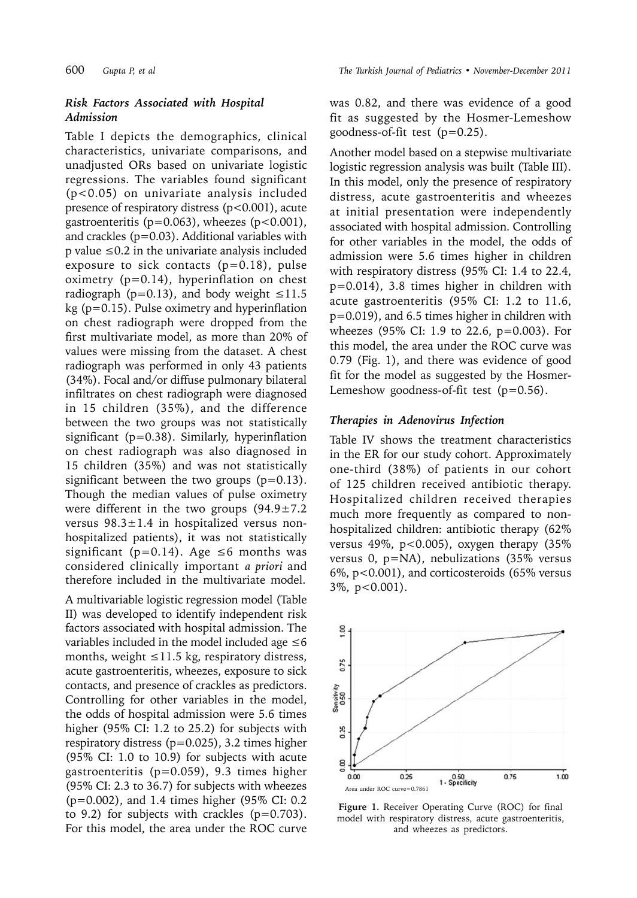#### *Risk Factors Associated with Hospital Admission*

Table I depicts the demographics, clinical characteristics, univariate comparisons, and unadjusted ORs based on univariate logistic regressions. The variables found significant (p<0.05) on univariate analysis included presence of respiratory distress (p<0.001), acute gastroenteritis ( $p=0.063$ ), wheezes ( $p<0.001$ ), and crackles (p=0.03). Additional variables with  $p$  value  $\leq 0.2$  in the univariate analysis included exposure to sick contacts  $(p=0.18)$ , pulse oximetry (p=0.14), hyperinflation on chest radiograph (p=0.13), and body weight  $\leq$ 11.5 kg (p=0.15). Pulse oximetry and hyperinflation on chest radiograph were dropped from the first multivariate model, as more than 20% of values were missing from the dataset. A chest radiograph was performed in only 43 patients (34%). Focal and/or diffuse pulmonary bilateral infiltrates on chest radiograph were diagnosed in 15 children (35%), and the difference between the two groups was not statistically significant (p=0.38). Similarly, hyperinflation on chest radiograph was also diagnosed in 15 children (35%) and was not statistically significant between the two groups  $(p=0.13)$ . Though the median values of pulse oximetry were different in the two groups  $(94.9 \pm 7.2)$ versus  $98.3 \pm 1.4$  in hospitalized versus nonhospitalized patients), it was not statistically significant (p=0.14). Age  $\leq 6$  months was considered clinically important *a priori* and therefore included in the multivariate model.

A multivariable logistic regression model (Table II) was developed to identify independent risk factors associated with hospital admission. The variables included in the model included age  $\leq 6$ months, weight  $\leq$ 11.5 kg, respiratory distress, acute gastroenteritis, wheezes, exposure to sick contacts, and presence of crackles as predictors. Controlling for other variables in the model, the odds of hospital admission were 5.6 times higher (95% CI: 1.2 to 25.2) for subjects with respiratory distress (p=0.025), 3.2 times higher (95% CI: 1.0 to 10.9) for subjects with acute gastroenteritis (p=0.059), 9.3 times higher (95% CI: 2.3 to 36.7) for subjects with wheezes (p=0.002), and 1.4 times higher (95% CI: 0.2 to 9.2) for subjects with crackles  $(p=0.703)$ . For this model, the area under the ROC curve

was 0.82, and there was evidence of a good fit as suggested by the Hosmer-Lemeshow goodness-of-fit test (p=0.25).

Another model based on a stepwise multivariate logistic regression analysis was built (Table III). In this model, only the presence of respiratory distress, acute gastroenteritis and wheezes at initial presentation were independently associated with hospital admission. Controlling for other variables in the model, the odds of admission were 5.6 times higher in children with respiratory distress (95% CI: 1.4 to 22.4, p=0.014), 3.8 times higher in children with acute gastroenteritis (95% CI: 1.2 to 11.6, p=0.019), and 6.5 times higher in children with wheezes (95% CI: 1.9 to 22.6, p=0.003). For this model, the area under the ROC curve was 0.79 (Fig. 1), and there was evidence of good fit for the model as suggested by the Hosmer-Lemeshow goodness-of-fit test  $(p=0.56)$ .

#### *Therapies in Adenovirus Infection*

Table IV shows the treatment characteristics in the ER for our study cohort. Approximately one-third (38%) of patients in our cohort of 125 children received antibiotic therapy. Hospitalized children received therapies much more frequently as compared to nonhospitalized children: antibiotic therapy (62% versus 49%, p<0.005), oxygen therapy  $(35\%$ versus 0, p=NA), nebulizations (35% versus 6%, p<0.001), and corticosteroids (65% versus 3%, p<0.001).



**Figure 1.** Receiver Operating Curve (ROC) for final model with respiratory distress, acute gastroenteritis, and wheezes as predictors.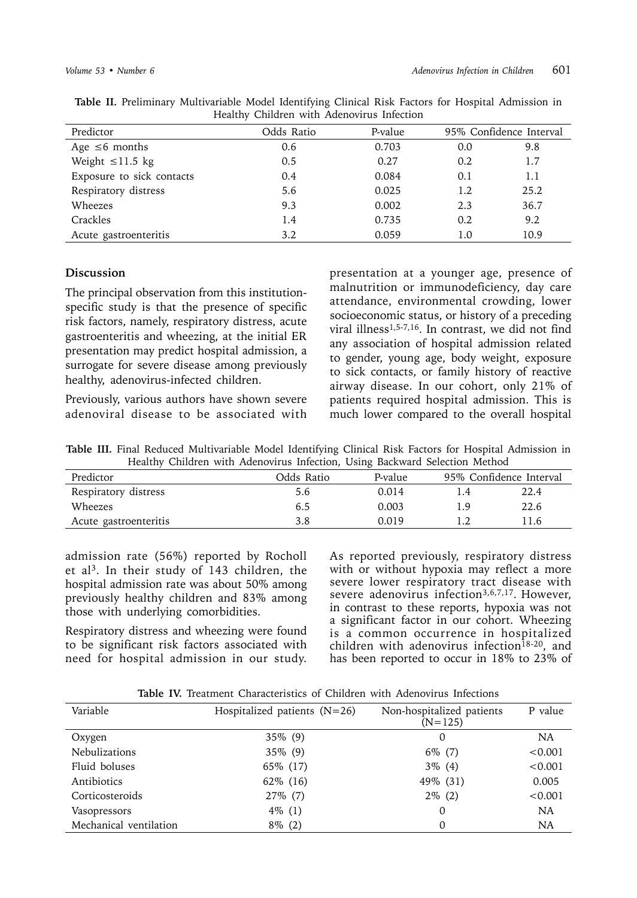|                           | Healthy Children with Adenovirus infection |         |     |                         |
|---------------------------|--------------------------------------------|---------|-----|-------------------------|
| Predictor                 | Odds Ratio                                 | P-value |     | 95% Confidence Interval |
| Age $\leq 6$ months       | 0.6                                        | 0.703   | 0.0 | 9.8                     |
| Weight $\leq$ 11.5 kg     | 0.5                                        | 0.27    | 0.2 | 1.7                     |
| Exposure to sick contacts | 0.4                                        | 0.084   | 0.1 | 1.1                     |
| Respiratory distress      | 5.6                                        | 0.025   | 1.2 | 25.2                    |
| Wheezes                   | 9.3                                        | 0.002   | 2.3 | 36.7                    |
| Crackles                  | 1.4                                        | 0.735   | 0.2 | 9.2                     |
| Acute gastroenteritis     | 3.2                                        | 0.059   | 1.0 | 10.9                    |

**Table II.** Preliminary Multivariable Model Identifying Clinical Risk Factors for Hospital Admission in Healthy Children with Adenovirus Infection

#### **Discussion**

The principal observation from this institutionspecific study is that the presence of specific risk factors, namely, respiratory distress, acute gastroenteritis and wheezing, at the initial ER presentation may predict hospital admission, a surrogate for severe disease among previously healthy, adenovirus-infected children.

Previously, various authors have shown severe adenoviral disease to be associated with presentation at a younger age, presence of malnutrition or immunodeficiency, day care attendance, environmental crowding, lower socioeconomic status, or history of a preceding viral illness1,5-7,16. In contrast, we did not find any association of hospital admission related to gender, young age, body weight, exposure to sick contacts, or family history of reactive airway disease. In our cohort, only 21% of patients required hospital admission. This is much lower compared to the overall hospital

**Table III.** Final Reduced Multivariable Model Identifying Clinical Risk Factors for Hospital Admission in Healthy Children with Adenovirus Infection, Using Backward Selection Method

| Predictor             | Odds Ratio | P-value |     | 95% Confidence Interval |
|-----------------------|------------|---------|-----|-------------------------|
| Respiratory distress  | 5.6        | 0.014   |     | 22.4                    |
| Wheezes               | 6.5        | 0.003   | 1 Q | 22.6                    |
| Acute gastroenteritis |            | 0.019   |     | 11.6                    |

admission rate (56%) reported by Rocholl et al3. In their study of 143 children, the hospital admission rate was about 50% among previously healthy children and 83% among those with underlying comorbidities.

Respiratory distress and wheezing were found to be significant risk factors associated with need for hospital admission in our study.

As reported previously, respiratory distress with or without hypoxia may reflect a more severe lower respiratory tract disease with severe adenovirus infection<sup>3,6,7,17</sup>. However, in contrast to these reports, hypoxia was not a significant factor in our cohort. Wheezing is a common occurrence in hospitalized children with adenovirus infection<sup>18-20</sup>, and has been reported to occur in 18% to 23% of

**Table IV.** Treatment Characteristics of Children with Adenovirus Infections

| Variable               | Hospitalized patients $(N=26)$ | Non-hospitalized patients<br>$(N=125)$ | P value   |
|------------------------|--------------------------------|----------------------------------------|-----------|
| Oxygen                 | $35\%$ (9)                     | 0                                      | <b>NA</b> |
| Nebulizations          | $35\%$ (9)                     | $6\%$ (7)                              | < 0.001   |
| Fluid boluses          | 65\% (17)                      | $3\%$ (4)                              | < 0.001   |
| Antibiotics            | 62\% (16)                      | 49% (31)                               | 0.005     |
| Corticosteroids        | $27\%$ (7)                     | $2\%$ (2)                              | < 0.001   |
| Vasopressors           | $4\%$ (1)                      | 0                                      | <b>NA</b> |
| Mechanical ventilation | $8\%$ (2)                      | 0                                      | NA        |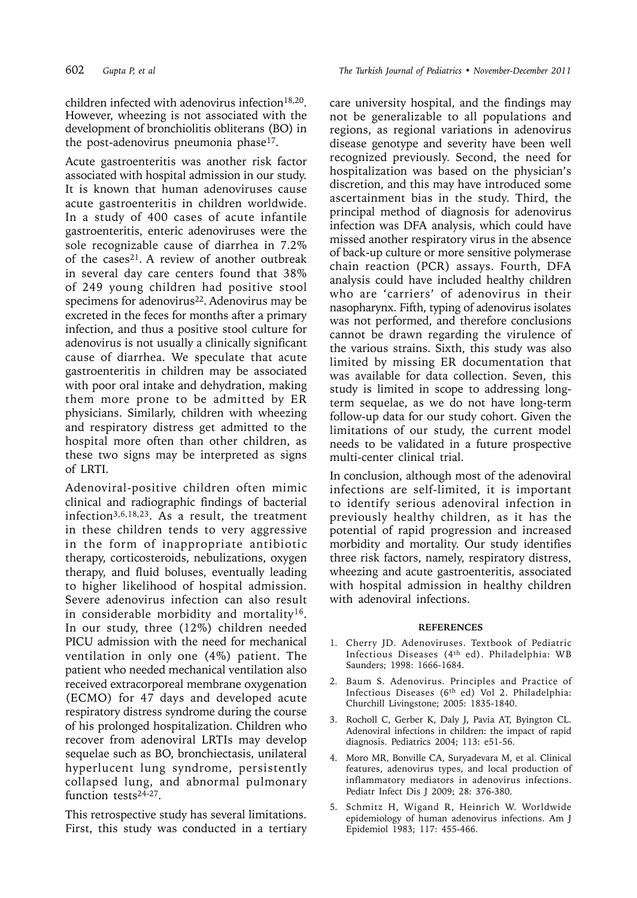children infected with adenovirus infection<sup>18,20</sup>. However, wheezing is not associated with the development of bronchiolitis obliterans (BO) in the post-adenovirus pneumonia phase $17$ .

Acute gastroenteritis was another risk factor associated with hospital admission in our study. It is known that human adenoviruses cause acute gastroenteritis in children worldwide. In a study of 400 cases of acute infantile gastroenteritis, enteric adenoviruses were the sole recognizable cause of diarrhea in 7.2% of the cases<sup>21</sup>. A review of another outbreak in several day care centers found that 38% of 249 young children had positive stool specimens for adenovirus<sup>22</sup>. Adenovirus may be excreted in the feces for months after a primary infection, and thus a positive stool culture for adenovirus is not usually a clinically significant cause of diarrhea. We speculate that acute gastroenteritis in children may be associated with poor oral intake and dehydration, making them more prone to be admitted by ER physicians. Similarly, children with wheezing and respiratory distress get admitted to the hospital more often than other children, as these two signs may be interpreted as signs of LRTI.

Adenoviral-positive children often mimic clinical and radiographic findings of bacterial infection<sup>3,6,18,23</sup>. As a result, the treatment in these children tends to very aggressive in the form of inappropriate antibiotic therapy, corticosteroids, nebulizations, oxygen therapy, and fluid boluses, eventually leading to higher likelihood of hospital admission. Severe adenovirus infection can also result in considerable morbidity and mortality<sup>16</sup>. In our study, three (12%) children needed PICU admission with the need for mechanical ventilation in only one (4%) patient. The patient who needed mechanical ventilation also received extracorporeal membrane oxygenation (ECMO) for 47 days and developed acute respiratory distress syndrome during the course of his prolonged hospitalization. Children who recover from adenoviral LRTIs may develop sequelae such as BO, bronchiectasis, unilateral hyperlucent lung syndrome, persistently collapsed lung, and abnormal pulmonary function tests<sup>24-27</sup>.

This retrospective study has several limitations. First, this study was conducted in a tertiary

602 *Gupta P, et al The Turkish Journal of Pediatrics • November-December 2011*

care university hospital, and the findings may not be generalizable to all populations and regions, as regional variations in adenovirus disease genotype and severity have been well recognized previously. Second, the need for hospitalization was based on the physician's discretion, and this may have introduced some ascertainment bias in the study. Third, the principal method of diagnosis for adenovirus infection was DFA analysis, which could have missed another respiratory virus in the absence of back-up culture or more sensitive polymerase chain reaction (PCR) assays. Fourth, DFA analysis could have included healthy children who are 'carriers' of adenovirus in their nasopharynx. Fifth, typing of adenovirus isolates was not performed, and therefore conclusions cannot be drawn regarding the virulence of the various strains. Sixth, this study was also limited by missing ER documentation that was available for data collection. Seven, this study is limited in scope to addressing longterm sequelae, as we do not have long-term follow-up data for our study cohort. Given the limitations of our study, the current model needs to be validated in a future prospective multi-center clinical trial.

In conclusion, although most of the adenoviral infections are self-limited, it is important to identify serious adenoviral infection in previously healthy children, as it has the potential of rapid progression and increased morbidity and mortality. Our study identifies three risk factors, namely, respiratory distress, wheezing and acute gastroenteritis, associated with hospital admission in healthy children with adenoviral infections.

#### **REFERENCES**

- 1. Cherry JD. Adenoviruses. Textbook of Pediatric Infectious Diseases (4th ed). Philadelphia: WB Saunders; 1998: 1666-1684.
- 2. Baum S. Adenovirus. Principles and Practice of Infectious Diseases (6th ed) Vol 2. Philadelphia: Churchill Livingstone; 2005: 1835-1840.
- 3. Rocholl C, Gerber K, Daly J, Pavia AT, Byington CL. Adenoviral infections in children: the impact of rapid diagnosis. Pediatrics 2004; 113: e51-56.
- 4. Moro MR, Bonville CA, Suryadevara M, et al. Clinical features, adenovirus types, and local production of inflammatory mediators in adenovirus infections. Pediatr Infect Dis J 2009; 28: 376-380.
- 5. Schmitz H, Wigand R, Heinrich W. Worldwide epidemiology of human adenovirus infections. Am J Epidemiol 1983; 117: 455-466.